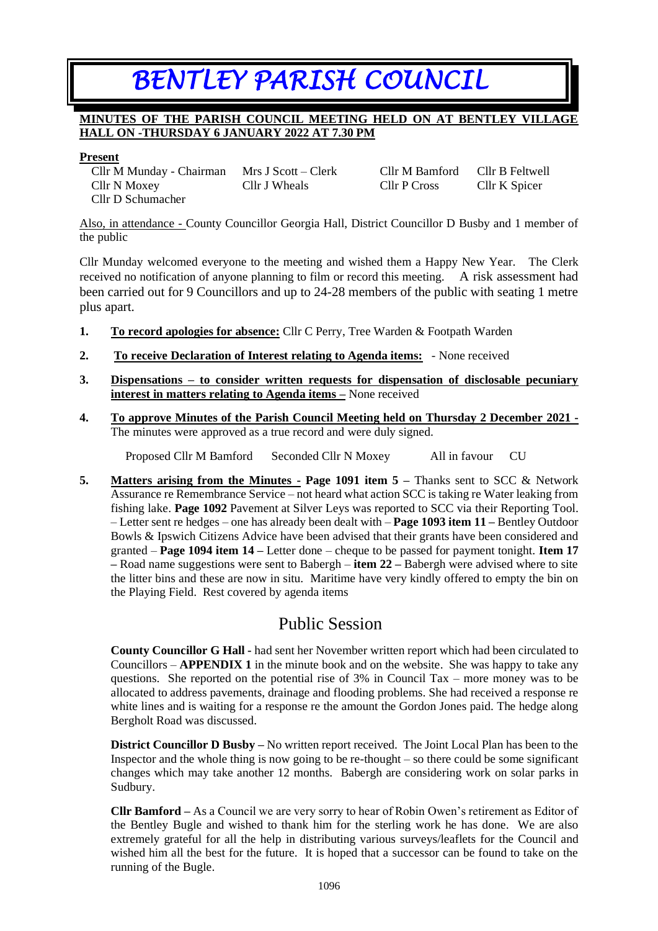# *BENTLEY PARISH COUNCIL*

## **MINUTES OF THE PARISH COUNCIL MEETING HELD ON AT BENTLEY VILLAGE HALL ON -THURSDAY 6 JANUARY 2022 AT 7.30 PM**

#### **Present**

Cllr M Munday - Chairman Mrs J Scott – Clerk Cllr M Bamford Cllr B Feltwell Cllr N Moxey Cllr J Wheals Cllr P Cross Cllr K Spicer Cllr D Schumacher

Also, in attendance - County Councillor Georgia Hall, District Councillor D Busby and 1 member of the public

Cllr Munday welcomed everyone to the meeting and wished them a Happy New Year. The Clerk received no notification of anyone planning to film or record this meeting. A risk assessment had been carried out for 9 Councillors and up to 24-28 members of the public with seating 1 metre plus apart.

- **1. To record apologies for absence:** Cllr C Perry, Tree Warden & Footpath Warden
- **2. To receive Declaration of Interest relating to Agenda items:** None received
- **3. Dispensations – to consider written requests for dispensation of disclosable pecuniary interest in matters relating to Agenda items –** None received
- **4. To approve Minutes of the Parish Council Meeting held on Thursday 2 December 2021 -** The minutes were approved as a true record and were duly signed.

Proposed Cllr M Bamford Seconded Cllr N Moxey All in favour CU

**5. Matters arising from the Minutes - Page 1091 item 5 –** Thanks sent to SCC & Network Assurance re Remembrance Service – not heard what action SCC is taking re Water leaking from fishing lake. **Page 1092** Pavement at Silver Leys was reported to SCC via their Reporting Tool. – Letter sent re hedges – one has already been dealt with – **Page 1093 item 11 –** Bentley Outdoor Bowls & Ipswich Citizens Advice have been advised that their grants have been considered and granted – **Page 1094 item 14 –** Letter done – cheque to be passed for payment tonight. **Item 17 –** Road name suggestions were sent to Babergh – **item 22 –** Babergh were advised where to site the litter bins and these are now in situ. Maritime have very kindly offered to empty the bin on the Playing Field. Rest covered by agenda items

# Public Session

**County Councillor G Hall -** had sent her November written report which had been circulated to Councillors – **APPENDIX 1** in the minute book and on the website. She was happy to take any questions. She reported on the potential rise of 3% in Council Tax – more money was to be allocated to address pavements, drainage and flooding problems. She had received a response re white lines and is waiting for a response re the amount the Gordon Jones paid. The hedge along Bergholt Road was discussed.

**District Councillor D Busby –** No written report received. The Joint Local Plan has been to the Inspector and the whole thing is now going to be re-thought – so there could be some significant changes which may take another 12 months. Babergh are considering work on solar parks in Sudbury.

**Cllr Bamford –** As a Council we are very sorry to hear of Robin Owen's retirement as Editor of the Bentley Bugle and wished to thank him for the sterling work he has done. We are also extremely grateful for all the help in distributing various surveys/leaflets for the Council and wished him all the best for the future. It is hoped that a successor can be found to take on the running of the Bugle.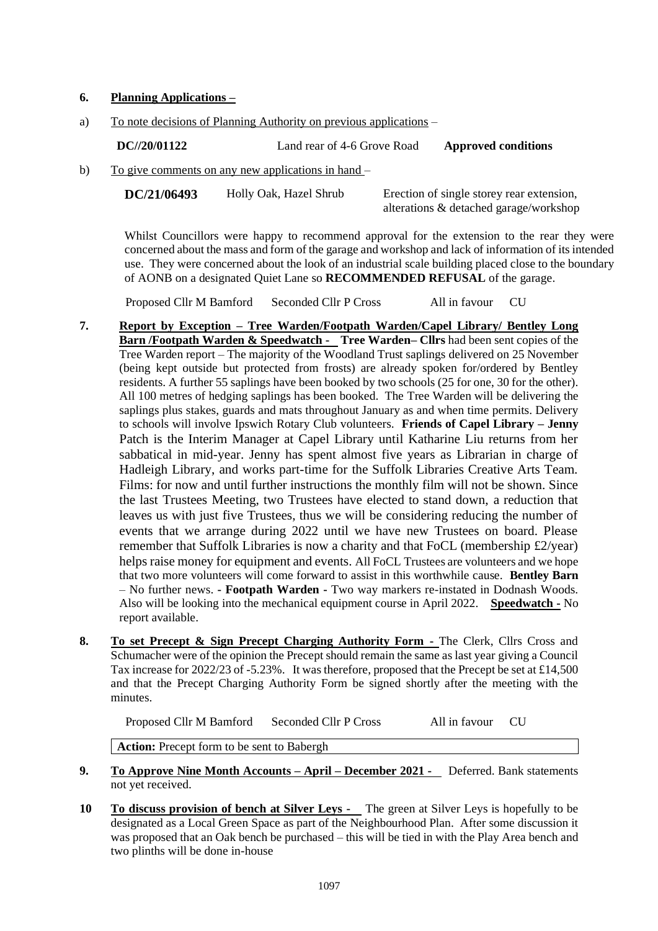### **6. Planning Applications –**

a) To note decisions of Planning Authority on previous applications –

**DC//20/01122** Land rear of 4-6 Grove Road **Approved conditions**

b) To give comments on any new applications in hand –

**DC/21/06493** Holly Oak, Hazel Shrub Erection of single storey rear extension,

alterations & detached garage/workshop

Whilst Councillors were happy to recommend approval for the extension to the rear they were concerned about the mass and form of the garage and workshop and lack of information of its intended use. They were concerned about the look of an industrial scale building placed close to the boundary of AONB on a designated Quiet Lane so **RECOMMENDED REFUSAL** of the garage.

Proposed Cllr M Bamford Seconded Cllr P Cross All in favour CU

- **7. Report by Exception – Tree Warden/Footpath Warden/Capel Library/ Bentley Long Barn /Footpath Warden & Speedwatch - Tree Warden– Cllrs** had been sent copies of the Tree Warden report – The majority of the Woodland Trust saplings delivered on 25 November (being kept outside but protected from frosts) are already spoken for/ordered by Bentley residents. A further 55 saplings have been booked by two schools (25 for one, 30 for the other). All 100 metres of hedging saplings has been booked. The Tree Warden will be delivering the saplings plus stakes, guards and mats throughout January as and when time permits. Delivery to schools will involve Ipswich Rotary Club volunteers. **Friends of Capel Library – Jenny** Patch is the Interim Manager at Capel Library until Katharine Liu returns from her sabbatical in mid-year. Jenny has spent almost five years as Librarian in charge of Hadleigh Library, and works part-time for the Suffolk Libraries Creative Arts Team. Films: for now and until further instructions the monthly film will not be shown. Since the last Trustees Meeting, two Trustees have elected to stand down, a reduction that leaves us with just five Trustees, thus we will be considering reducing the number of events that we arrange during 2022 until we have new Trustees on board. Please remember that Suffolk Libraries is now a charity and that FoCL (membership £2/year) helps raise money for equipment and events. All FoCL Trustees are volunteers and we hope that two more volunteers will come forward to assist in this worthwhile cause. **Bentley Barn** – No further news. **- Footpath Warden -** Two way markers re-instated in Dodnash Woods. Also will be looking into the mechanical equipment course in April 2022. **Speedwatch -** No report available.
- **8. To set Precept & Sign Precept Charging Authority Form -** The Clerk, Cllrs Cross and Schumacher were of the opinion the Precept should remain the same as last year giving a Council Tax increase for 2022/23 of -5.23%. It was therefore, proposed that the Precept be set at £14,500 and that the Precept Charging Authority Form be signed shortly after the meeting with the minutes.

Proposed Cllr M Bamford Seconded Cllr P Cross All in favour CU

**Action:** Precept form to be sent to Babergh

- **9. To Approve Nine Month Accounts – April – December 2021** Deferred. Bank statements not yet received.
- **10 To discuss provision of bench at Silver Leys** The green at Silver Leys is hopefully to be designated as a Local Green Space as part of the Neighbourhood Plan. After some discussion it was proposed that an Oak bench be purchased – this will be tied in with the Play Area bench and two plinths will be done in-house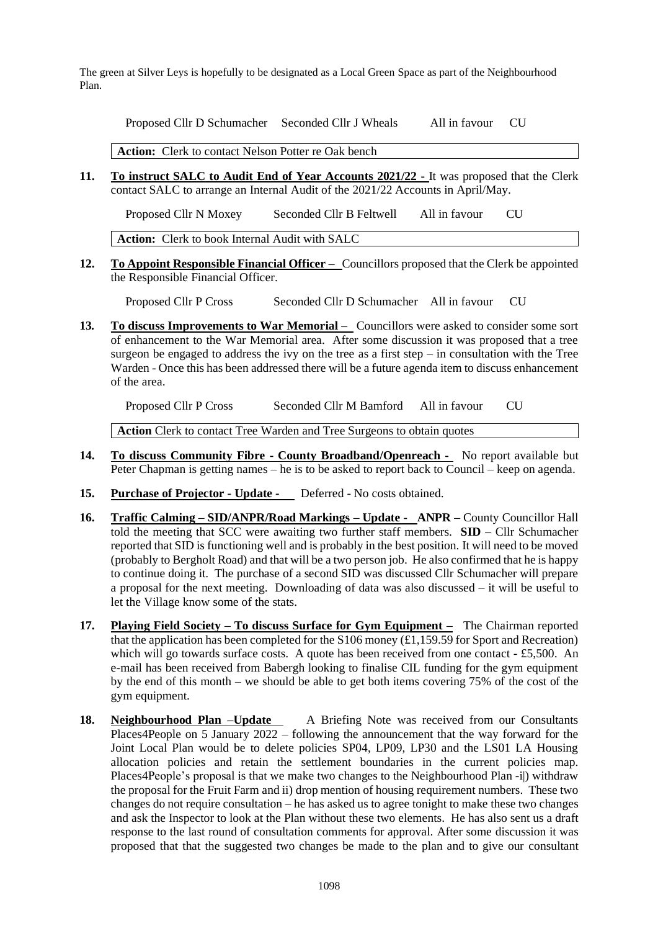The green at Silver Leys is hopefully to be designated as a Local Green Space as part of the Neighbourhood Plan.

Proposed Cllr D Schumacher Seconded Cllr J Wheals All in favour CU

**Action:** Clerk to contact Nelson Potter re Oak bench

**11. To instruct SALC to Audit End of Year Accounts 2021/22 -** It was proposed that the Clerk contact SALC to arrange an Internal Audit of the 2021/22 Accounts in April/May.

Proposed Cllr N Moxey Seconded Cllr B Feltwell All in favour CU

**Action:** Clerk to book Internal Audit with SALC

**12. To Appoint Responsible Financial Officer –** Councillors proposed that the Clerk be appointed the Responsible Financial Officer.

Proposed Cllr P Cross Seconded Cllr D Schumacher All in favour CU

**13***.* **To discuss Improvements to War Memorial –** Councillors were asked to consider some sort of enhancement to the War Memorial area. After some discussion it was proposed that a tree surgeon be engaged to address the ivy on the tree as a first step – in consultation with the Tree Warden - Once this has been addressed there will be a future agenda item to discuss enhancement of the area.

Proposed Cllr P Cross Seconded Cllr M Bamford All in favour CU

**Action** Clerk to contact Tree Warden and Tree Surgeons to obtain quotes

- **14. To discuss Community Fibre - County Broadband/Openreach -** No report available but Peter Chapman is getting names – he is to be asked to report back to Council – keep on agenda.
- **15. Purchase of Projector - Update** Deferred No costs obtained.
- **16. Traffic Calming – SID/ANPR/Road Markings – Update ANPR –** County Councillor Hall told the meeting that SCC were awaiting two further staff members. **SID –** Cllr Schumacher reported that SID is functioning well and is probably in the best position. It will need to be moved (probably to Bergholt Road) and that will be a two person job. He also confirmed that he is happy to continue doing it. The purchase of a second SID was discussed Cllr Schumacher will prepare a proposal for the next meeting. Downloading of data was also discussed – it will be useful to let the Village know some of the stats.
- **17. Playing Field Society – To discuss Surface for Gym Equipment –** The Chairman reported that the application has been completed for the S106 money (£1,159.59 for Sport and Recreation) which will go towards surface costs. A quote has been received from one contact - £5,500. An e-mail has been received from Babergh looking to finalise CIL funding for the gym equipment by the end of this month – we should be able to get both items covering 75% of the cost of the gym equipment.
- **18. Neighbourhood Plan –Update** A Briefing Note was received from our Consultants Places4People on 5 January 2022 – following the announcement that the way forward for the Joint Local Plan would be to delete policies SP04, LP09, LP30 and the LS01 LA Housing allocation policies and retain the settlement boundaries in the current policies map. Places4People's proposal is that we make two changes to the Neighbourhood Plan -i) withdraw the proposal for the Fruit Farm and ii) drop mention of housing requirement numbers. These two changes do not require consultation – he has asked us to agree tonight to make these two changes and ask the Inspector to look at the Plan without these two elements. He has also sent us a draft response to the last round of consultation comments for approval. After some discussion it was proposed that that the suggested two changes be made to the plan and to give our consultant